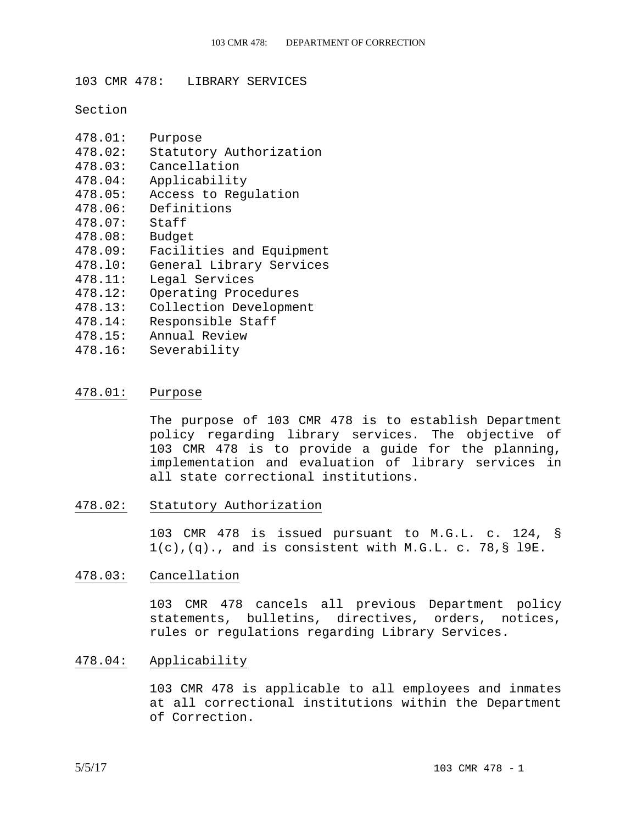103 CMR 478: LIBRARY SERVICES

Section

| 478.01: | Purpose                  |
|---------|--------------------------|
| 478.02: | Statutory Authorization  |
| 478.03: | Cancellation             |
| 478.04: | Applicability            |
| 478.05: | Access to Regulation     |
| 478.06: | Definitions              |
| 478.07: | Staff                    |
| 478.08: | Budget                   |
|         |                          |
| 478.09: | Facilities and Equipment |
| 478.10: | General Library Services |
| 478.11: | Legal Services           |
| 478.12: | Operating Procedures     |
| 478.13: | Collection Development   |
| 478.14: | Responsible Staff        |
| 478.15: | Annual Review            |

#### 478.01: Purpose

The purpose of 103 CMR 478 is to establish Department policy regarding library services. The objective of 103 CMR 478 is to provide a guide for the planning, implementation and evaluation of library services in all state correctional institutions.

478.02: Statutory Authorization

103 CMR 478 is issued pursuant to M.G.L. c. 124, §  $1(c)$ ,  $(q)$ ., and is consistent with M.G.L. c. 78, § 19E.

#### 478.03: Cancellation

103 CMR 478 cancels all previous Department policy statements, bulletins, directives, orders, notices, rules or regulations regarding Library Services.

#### 478.04: Applicability

103 CMR 478 is applicable to all employees and inmates at all correctional institutions within the Department of Correction.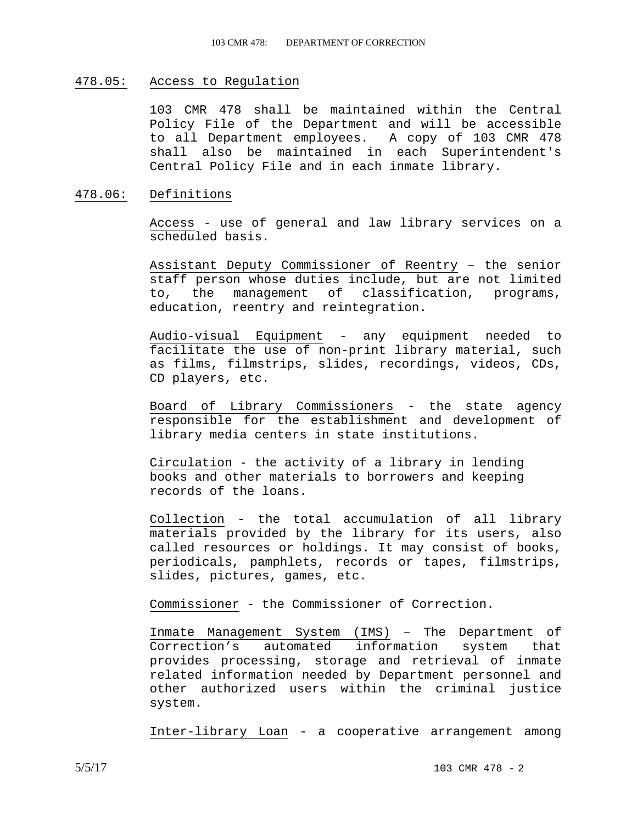### 478.05: Access to Regulation

103 CMR 478 shall be maintained within the Central Policy File of the Department and will be accessible to all Department employees. A copy of 103 CMR 478 shall also be maintained in each Superintendent's Central Policy File and in each inmate library.

### 478.06: Definitions

Access - use of general and law library services on a scheduled basis.

Assistant Deputy Commissioner of Reentry – the senior staff person whose duties include, but are not limited to, the management of classification, programs, education, reentry and reintegration.

Audio-visual Equipment - any equipment needed to facilitate the use of non-print library material, such as films, filmstrips, slides, recordings, videos, CDs, CD players, etc.

Board of Library Commissioners - the state agency responsible for the establishment and development of library media centers in state institutions.

Circulation - the activity of a library in lending books and other materials to borrowers and keeping records of the loans.

Collection - the total accumulation of all library materials provided by the library for its users, also called resources or holdings. It may consist of books, periodicals, pamphlets, records or tapes, filmstrips, slides, pictures, games, etc.

Commissioner - the Commissioner of Correction.

Inmate Management System (IMS) – The Department of Correction's automated information system that provides processing, storage and retrieval of inmate related information needed by Department personnel and other authorized users within the criminal justice system.

Inter-library Loan - a cooperative arrangement among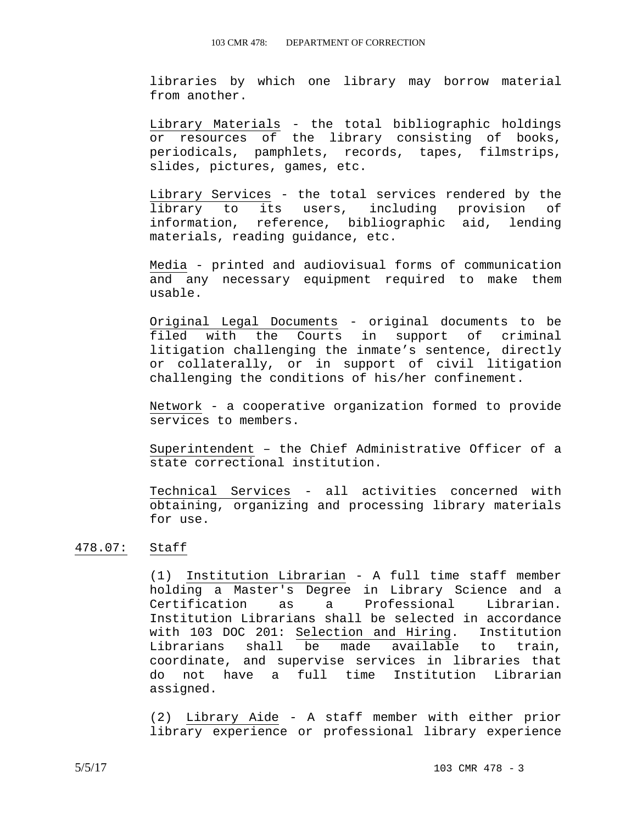libraries by which one library may borrow material from another.

Library Materials - the total bibliographic holdings or resources of the library consisting of books, periodicals, pamphlets, records, tapes, filmstrips, slides, pictures, games, etc.

Library Services - the total services rendered by the library to its users, including provision of information, reference, bibliographic aid, lending materials, reading guidance, etc.

Media - printed and audiovisual forms of communication and any necessary equipment required to make them usable.

Original Legal Documents - original documents to be filed with the Courts in support of criminal litigation challenging the inmate's sentence, directly or collaterally, or in support of civil litigation challenging the conditions of his/her confinement.

Network - a cooperative organization formed to provide services to members.

Superintendent – the Chief Administrative Officer of a state correctional institution.

Technical Services - all activities concerned with obtaining, organizing and processing library materials for use.

#### 478.07: Staff

(1) Institution Librarian - A full time staff member holding a Master's Degree in Library Science and a Certification as a Professional Librarian. Institution Librarians shall be selected in accordance with 103 DOC 201: Selection and Hiring. Institution Librarians shall be made available to train, coordinate, and supervise services in libraries that do not have a full time Institution Librarian assigned.

(2) Library Aide - A staff member with either prior library experience or professional library experience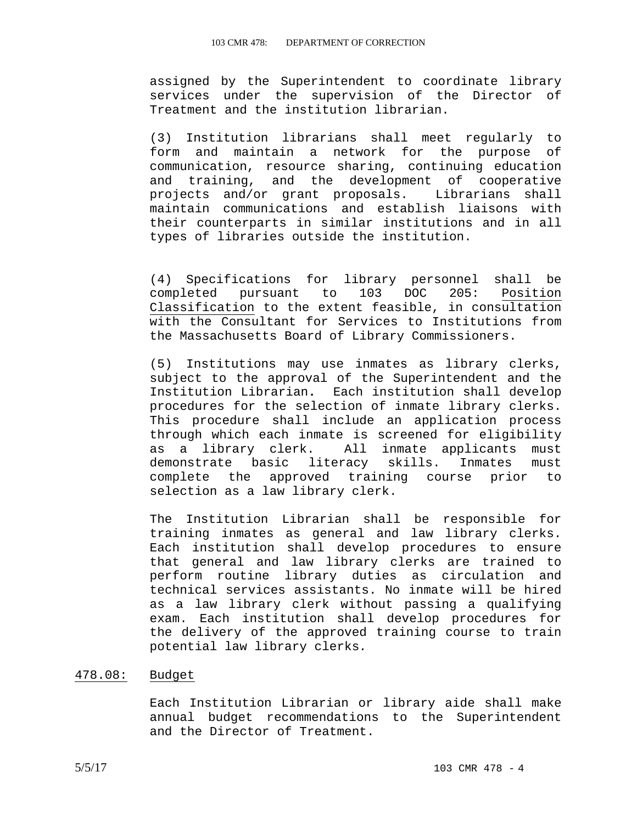assigned by the Superintendent to coordinate library services under the supervision of the Director of Treatment and the institution librarian.

(3) Institution librarians shall meet regularly to form and maintain a network for the purpose of communication, resource sharing, continuing education and training, and the development of cooperative projects and/or grant proposals. Librarians shall maintain communications and establish liaisons with their counterparts in similar institutions and in all types of libraries outside the institution.

(4) Specifications for library personnel shall be completed pursuant to 103 DOC 205: Position Classification to the extent feasible, in consultation with the Consultant for Services to Institutions from the Massachusetts Board of Library Commissioners.

(5) Institutions may use inmates as library clerks, subject to the approval of the Superintendent and the Institution Librarian**.** Each institution shall develop procedures for the selection of inmate library clerks. This procedure shall include an application process through which each inmate is screened for eligibility as a library clerk. All inmate applicants must demonstrate basic literacy skills. Inmates must complete the approved training course prior to selection as a law library clerk.

The Institution Librarian shall be responsible for training inmates as general and law library clerks. Each institution shall develop procedures to ensure that general and law library clerks are trained to perform routine library duties as circulation and technical services assistants. No inmate will be hired as a law library clerk without passing a qualifying exam. Each institution shall develop procedures for the delivery of the approved training course to train potential law library clerks*.* 

# 478.08: Budget

Each Institution Librarian or library aide shall make annual budget recommendations to the Superintendent and the Director of Treatment.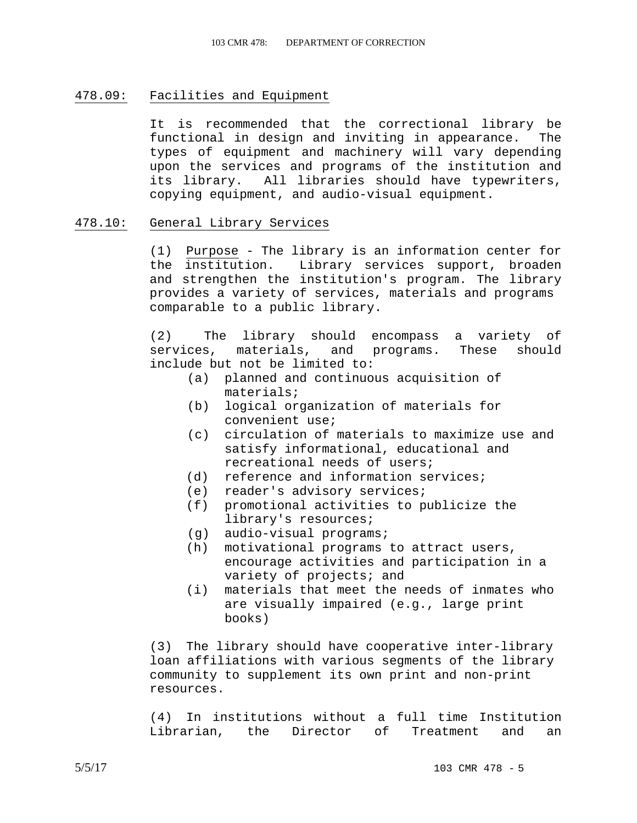## 478.09: Facilities and Equipment

 It is recommended that the correctional library be functional in design and inviting in appearance. The types of equipment and machinery will vary depending upon the services and programs of the institution and its library. All libraries should have typewriters, copying equipment, and audio-visual equipment.

### 478.10: General Library Services

(1) Purpose - The library is an information center for the institution. Library services support, broaden and strengthen the institution's program. The library provides a variety of services, materials and programs comparable to a public library.

(2) The library should encompass a variety of services, materials, and programs. These should include but not be limited to:

- (a) planned and continuous acquisition of materials;
- (b) logical organization of materials for convenient use;
- (c) circulation of materials to maximize use and satisfy informational, educational and recreational needs of users;
- (d) reference and information services;
- (e) reader's advisory services;
- (f) promotional activities to publicize the library's resources;
- (g) audio-visual programs;
- (h) motivational programs to attract users, encourage activities and participation in a variety of projects; and
- (i) materials that meet the needs of inmates who are visually impaired (e.g., large print books)

(3) The library should have cooperative inter-library loan affiliations with various segments of the library community to supplement its own print and non-print resources.

(4) In institutions without a full time Institution Librarian, the Director of Treatment and an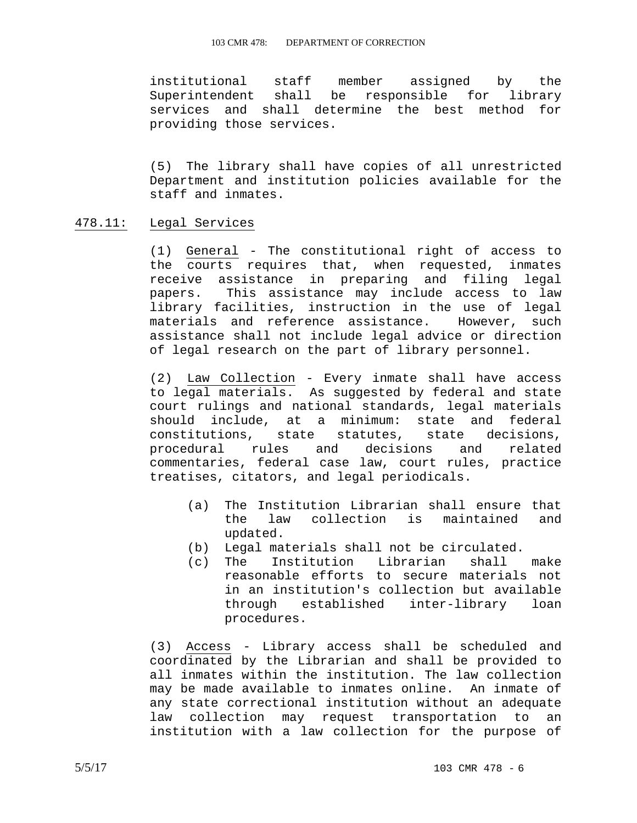#### 103 CMR 478: DEPARTMENT OF CORRECTION

institutional staff member assigned by the Superintendent shall be responsible for library services and shall determine the best method for providing those services.

(5) The library shall have copies of all unrestricted Department and institution policies available for the staff and inmates.

#### 478.11: Legal Services

(1) General - The constitutional right of access to the courts requires that, when requested, inmates receive assistance in preparing and filing legal papers. This assistance may include access to law library facilities, instruction in the use of legal materials and reference assistance. However, such assistance shall not include legal advice or direction of legal research on the part of library personnel.

(2) Law Collection - Every inmate shall have access to legal materials. As suggested by federal and state court rulings and national standards, legal materials should include, at a minimum: state and federal constitutions, state statutes, state decisions, procedural rules and decisions and related commentaries, federal case law, court rules, practice treatises, citators, and legal periodicals.

- (a) The Institution Librarian shall ensure that the law collection is maintained and updated.
- (b) Legal materials shall not be circulated.
- (c) The Institution Librarian shall make reasonable efforts to secure materials not in an institution's collection but available<br>through established inter-library loan through established inter-library loan procedures.

(3) Access - Library access shall be scheduled and coordinated by the Librarian and shall be provided to all inmates within the institution. The law collection may be made available to inmates online. An inmate of any state correctional institution without an adequate law collection may request transportation to an institution with a law collection for the purpose of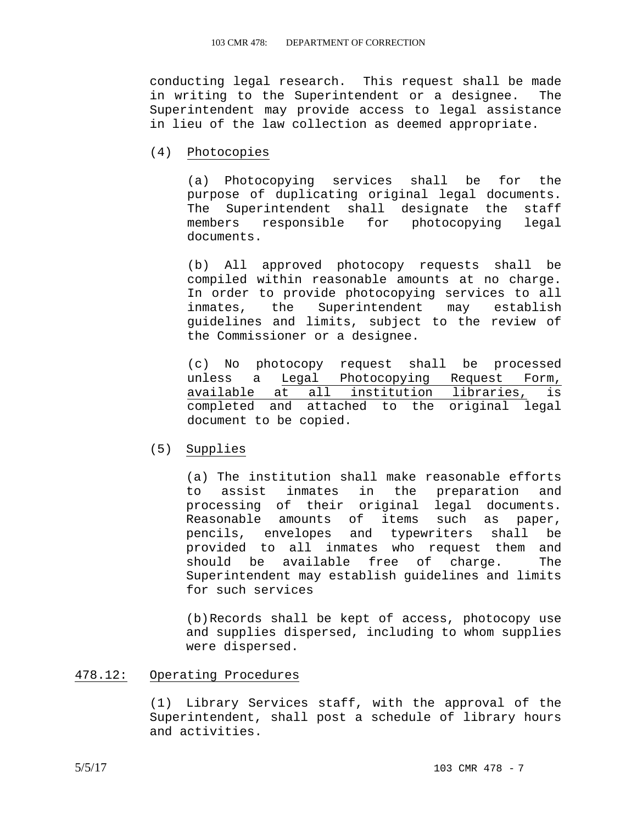conducting legal research. This request shall be made in writing to the Superintendent or a designee. The Superintendent may provide access to legal assistance in lieu of the law collection as deemed appropriate.

## (4) Photocopies

(a) Photocopying services shall be for the purpose of duplicating original legal documents. The Superintendent shall designate the staff members responsible for photocopying legal documents.

(b) All approved photocopy requests shall be compiled within reasonable amounts at no charge. In order to provide photocopying services to all inmates, the Superintendent may establish guidelines and limits, subject to the review of the Commissioner or a designee.

(c) No photocopy request shall be processed unless a Legal Photocopying Request Form, available at all institution libraries, is completed and attached to the original legal document to be copied.

### (5) Supplies

(a) The institution shall make reasonable efforts to assist inmates in the preparation and processing of their original legal documents. Reasonable amounts of items such as paper, pencils, envelopes and typewriters shall be provided to all inmates who request them and should be available free of charge. The Superintendent may establish guidelines and limits for such services

(b) Records shall be kept of access, photocopy use and supplies dispersed, including to whom supplies were dispersed.

## 478.12: Operating Procedures

(1) Library Services staff, with the approval of the Superintendent, shall post a schedule of library hours and activities.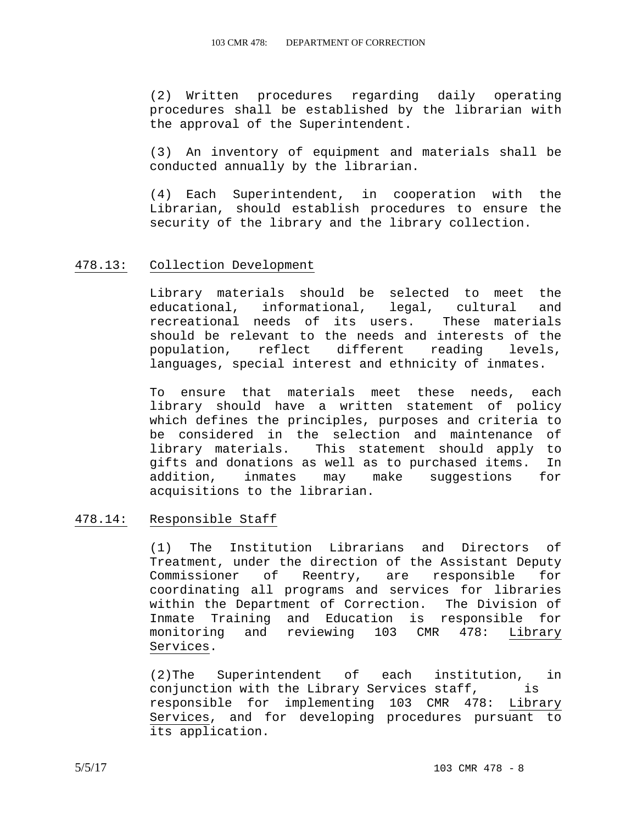(2) Written procedures regarding daily operating procedures shall be established by the librarian with the approval of the Superintendent.

(3) An inventory of equipment and materials shall be conducted annually by the librarian.

(4) Each Superintendent, in cooperation with the Librarian, should establish procedures to ensure the security of the library and the library collection.

#### 478.13: Collection Development

Library materials should be selected to meet the educational, informational, legal, cultural and recreational needs of its users. These materials should be relevant to the needs and interests of the population, reflect different reading levels, languages, special interest and ethnicity of inmates.

To ensure that materials meet these needs, each library should have a written statement of policy which defines the principles, purposes and criteria to be considered in the selection and maintenance of library materials. This statement should apply to gifts and donations as well as to purchased items. In addition, inmates may make suggestions for acquisitions to the librarian.

# 478.14: Responsible Staff

(1) The Institution Librarians and Directors of Treatment, under the direction of the Assistant Deputy Commissioner of Reentry, are responsible for coordinating all programs and services for libraries within the Department of Correction. The Division of Inmate Training and Education is responsible for monitoring and reviewing 103 CMR 478: Library Services.

(2)The Superintendent of each institution, in conjunction with the Library Services staff, is responsible for implementing 103 CMR 478: Library Services, and for developing procedures pursuant to its application.